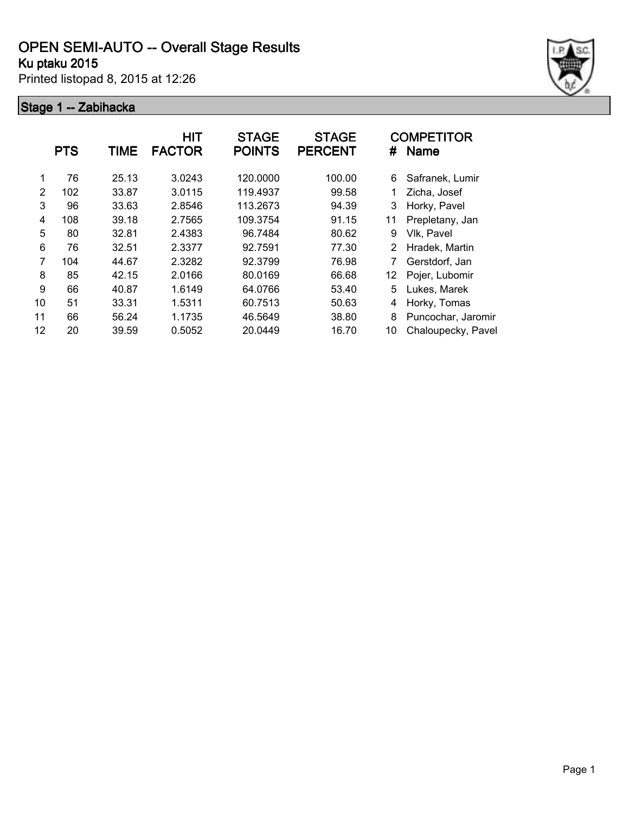# **OPEN SEMI-AUTO -- Overall Stage Results**

## **Ku ptaku 2015**

Printed listopad 8, 2015 at 12:26

### **Stage 1 -- Zabihacka**



|    | <b>PTS</b> | <b>TIME</b> | <b>HIT</b><br><b>FACTOR</b> | <b>STAGE</b><br><b>POINTS</b> | <b>STAGE</b><br><b>PERCENT</b> | #  | <b>COMPETITOR</b><br><b>Name</b> |
|----|------------|-------------|-----------------------------|-------------------------------|--------------------------------|----|----------------------------------|
| 1  | 76         | 25.13       | 3.0243                      | 120.0000                      | 100.00                         | 6  | Safranek, Lumir                  |
| 2  | 102        | 33.87       | 3.0115                      | 119.4937                      | 99.58                          | 1  | Zicha, Josef                     |
| 3  | 96         | 33.63       | 2.8546                      | 113.2673                      | 94.39                          | 3  | Horky, Pavel                     |
| 4  | 108        | 39.18       | 2.7565                      | 109.3754                      | 91.15                          | 11 | Prepletany, Jan                  |
| 5  | 80         | 32.81       | 2.4383                      | 96.7484                       | 80.62                          | 9  | Vlk, Pavel                       |
| 6  | 76         | 32.51       | 2.3377                      | 92.7591                       | 77.30                          | 2  | Hradek, Martin                   |
| 7  | 104        | 44.67       | 2.3282                      | 92.3799                       | 76.98                          |    | Gerstdorf, Jan                   |
| 8  | 85         | 42.15       | 2.0166                      | 80.0169                       | 66.68                          | 12 | Pojer, Lubomir                   |
| 9  | 66         | 40.87       | 1.6149                      | 64.0766                       | 53.40                          | 5  | Lukes, Marek                     |
| 10 | 51         | 33.31       | 1.5311                      | 60.7513                       | 50.63                          | 4  | Horky, Tomas                     |
| 11 | 66         | 56.24       | 1.1735                      | 46.5649                       | 38.80                          | 8  | Puncochar, Jaromir               |
| 12 | 20         | 39.59       | 0.5052                      | 20.0449                       | 16.70                          | 10 | Chaloupecky, Pavel               |